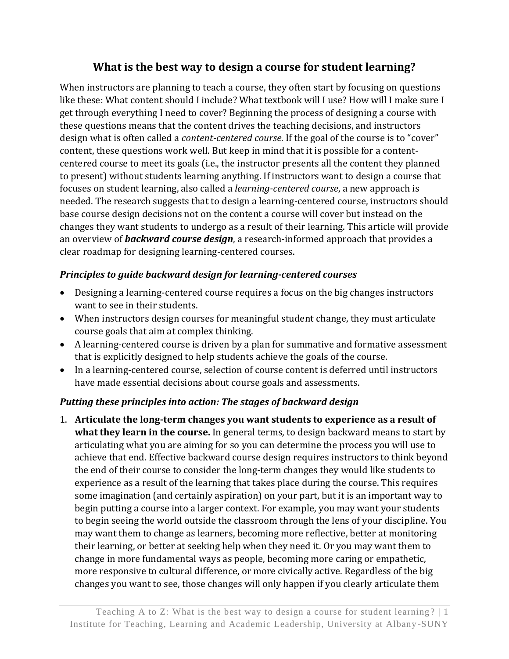# **What is the best way to design a course for student learning?**

When instructors are planning to teach a course, they often start by focusing on questions like these: What content should I include? What textbook will I use? How will I make sure I get through everything I need to cover? Beginning the process of designing a course with these questions means that the content drives the teaching decisions, and instructors design what is often called a *content-centered course*. If the goal of the course is to "cover" content, these questions work well. But keep in mind that it is possible for a contentcentered course to meet its goals (i.e., the instructor presents all the content they planned to present) without students learning anything. If instructors want to design a course that focuses on student learning, also called a *learning-centered course*, a new approach is needed. The research suggests that to design a learning-centered course, instructors should base course design decisions not on the content a course will cover but instead on the changes they want students to undergo as a result of their learning. This article will provide an overview of *backward course design*, a research-informed approach that provides a clear roadmap for designing learning-centered courses.

### *Principles to guide backward design for learning-centered courses*

- Designing a learning-centered course requires a focus on the big changes instructors want to see in their students.
- When instructors design courses for meaningful student change, they must articulate course goals that aim at complex thinking.
- A learning-centered course is driven by a plan for summative and formative assessment that is explicitly designed to help students achieve the goals of the course.
- In a learning-centered course, selection of course content is deferred until instructors have made essential decisions about course goals and assessments.

# *Putting these principles into action: The stages of backward design*

1. **Articulate the long-term changes you want students to experience as a result of what they learn in the course.** In general terms, to design backward means to start by articulating what you are aiming for so you can determine the process you will use to achieve that end. Effective backward course design requires instructors to think beyond the end of their course to consider the long-term changes they would like students to experience as a result of the learning that takes place during the course. This requires some imagination (and certainly aspiration) on your part, but it is an important way to begin putting a course into a larger context. For example, you may want your students to begin seeing the world outside the classroom through the lens of your discipline. You may want them to change as learners, becoming more reflective, better at monitoring their learning, or better at seeking help when they need it. Or you may want them to change in more fundamental ways as people, becoming more caring or empathetic, more responsive to cultural difference, or more civically active. Regardless of the big changes you want to see, those changes will only happen if you clearly articulate them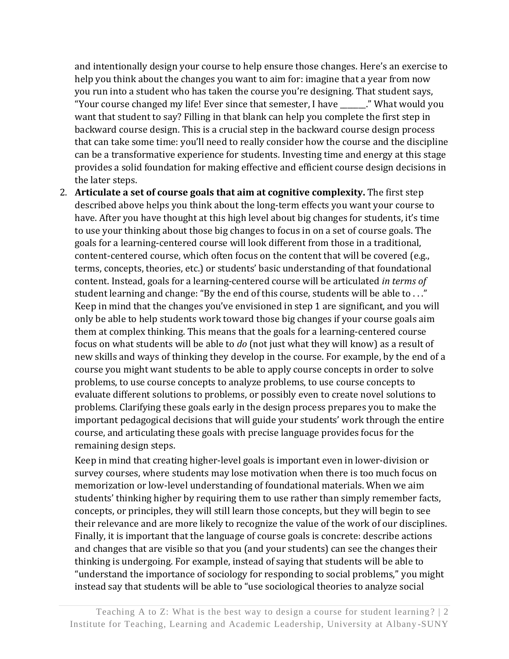and intentionally design your course to help ensure those changes. Here's an exercise to help you think about the changes you want to aim for: imagine that a year from now you run into a student who has taken the course you're designing. That student says, "Your course changed my life! Ever since that semester, I have \_\_\_\_\_\_\_." What would you want that student to say? Filling in that blank can help you complete the first step in backward course design. This is a crucial step in the backward course design process that can take some time: you'll need to really consider how the course and the discipline can be a transformative experience for students. Investing time and energy at this stage provides a solid foundation for making effective and efficient course design decisions in the later steps.

2. **Articulate a set of course goals that aim at cognitive complexity.** The first step described above helps you think about the long-term effects you want your course to have. After you have thought at this high level about big changes for students, it's time to use your thinking about those big changes to focus in on a set of course goals. The goals for a learning-centered course will look different from those in a traditional, content-centered course, which often focus on the content that will be covered (e.g., terms, concepts, theories, etc.) or students' basic understanding of that foundational content. Instead, goals for a learning-centered course will be articulated *in terms of*  student learning and change: "By the end of this course, students will be able to . . ." Keep in mind that the changes you've envisioned in step 1 are significant, and you will only be able to help students work toward those big changes if your course goals aim them at complex thinking. This means that the goals for a learning-centered course focus on what students will be able to *do* (not just what they will know) as a result of new skills and ways of thinking they develop in the course. For example, by the end of a course you might want students to be able to apply course concepts in order to solve problems, to use course concepts to analyze problems, to use course concepts to evaluate different solutions to problems, or possibly even to create novel solutions to problems. Clarifying these goals early in the design process prepares you to make the important pedagogical decisions that will guide your students' work through the entire course, and articulating these goals with precise language provides focus for the remaining design steps.

Keep in mind that creating higher-level goals is important even in lower-division or survey courses, where students may lose motivation when there is too much focus on memorization or low-level understanding of foundational materials. When we aim students' thinking higher by requiring them to use rather than simply remember facts, concepts, or principles, they will still learn those concepts, but they will begin to see their relevance and are more likely to recognize the value of the work of our disciplines. Finally, it is important that the language of course goals is concrete: describe actions and changes that are visible so that you (and your students) can see the changes their thinking is undergoing. For example, instead of saying that students will be able to "understand the importance of sociology for responding to social problems," you might instead say that students will be able to "use sociological theories to analyze social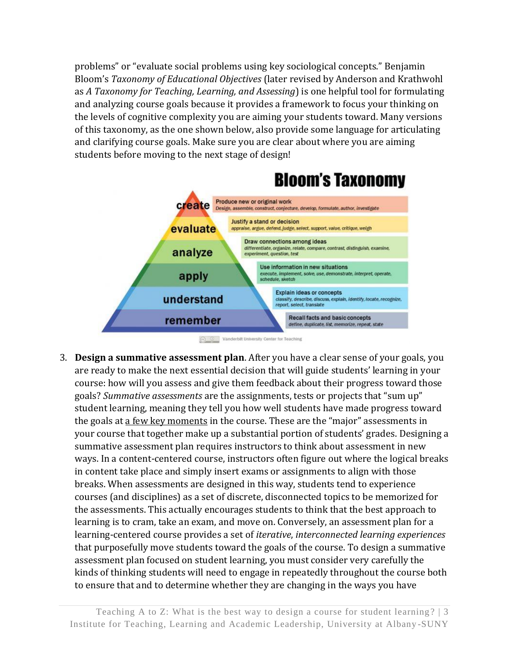problems" or "evaluate social problems using key sociological concepts." Benjamin Bloom's *Taxonomy of Educational Objectives* (later revised by Anderson and Krathwohl as *A Taxonomy for Teaching, Learning, and Assessing*) is one helpful tool for formulating and analyzing course goals because it provides a framework to focus your thinking on the levels of cognitive complexity you are aiming your students toward. Many versions of this taxonomy, as the one shown below, also provide some language for articulating and clarifying course goals. Make sure you are clear about where you are aiming students before moving to the next stage of design!



C C Vanderbilt University Center for Teaching

3. **Design a summative assessment plan**. After you have a clear sense of your goals, you are ready to make the next essential decision that will guide students' learning in your course: how will you assess and give them feedback about their progress toward those goals? *Summative assessments* are the assignments, tests or projects that "sum up" student learning, meaning they tell you how well students have made progress toward the goals at a few key moments in the course. These are the "major" assessments in your course that together make up a substantial portion of students' grades. Designing a summative assessment plan requires instructors to think about assessment in new ways. In a content-centered course, instructors often figure out where the logical breaks in content take place and simply insert exams or assignments to align with those breaks. When assessments are designed in this way, students tend to experience courses (and disciplines) as a set of discrete, disconnected topics to be memorized for the assessments. This actually encourages students to think that the best approach to learning is to cram, take an exam, and move on. Conversely, an assessment plan for a learning-centered course provides a set of *iterative*, *interconnected learning experiences* that purposefully move students toward the goals of the course. To design a summative assessment plan focused on student learning, you must consider very carefully the kinds of thinking students will need to engage in repeatedly throughout the course both to ensure that and to determine whether they are changing in the ways you have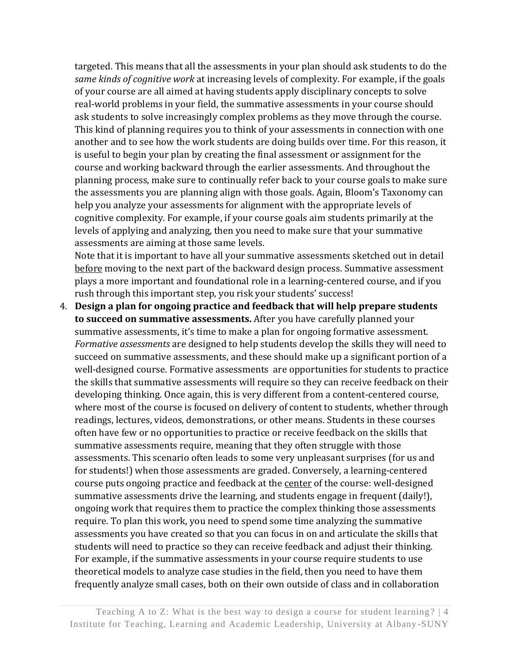targeted. This means that all the assessments in your plan should ask students to do the *same kinds of cognitive work* at increasing levels of complexity. For example, if the goals of your course are all aimed at having students apply disciplinary concepts to solve real-world problems in your field, the summative assessments in your course should ask students to solve increasingly complex problems as they move through the course. This kind of planning requires you to think of your assessments in connection with one another and to see how the work students are doing builds over time. For this reason, it is useful to begin your plan by creating the final assessment or assignment for the course and working backward through the earlier assessments. And throughout the planning process, make sure to continually refer back to your course goals to make sure the assessments you are planning align with those goals. Again, Bloom's Taxonomy can help you analyze your assessments for alignment with the appropriate levels of cognitive complexity. For example, if your course goals aim students primarily at the levels of applying and analyzing, then you need to make sure that your summative assessments are aiming at those same levels.

Note that it is important to have all your summative assessments sketched out in detail before moving to the next part of the backward design process. Summative assessment plays a more important and foundational role in a learning-centered course, and if you rush through this important step, you risk your students' success!

4. **Design a plan for ongoing practice and feedback that will help prepare students to succeed on summative assessments.** After you have carefully planned your summative assessments, it's time to make a plan for ongoing formative assessment. *Formative assessments* are designed to help students develop the skills they will need to succeed on summative assessments, and these should make up a significant portion of a well-designed course. Formative assessments are opportunities for students to practice the skills that summative assessments will require so they can receive feedback on their developing thinking. Once again, this is very different from a content-centered course, where most of the course is focused on delivery of content to students, whether through readings, lectures, videos, demonstrations, or other means. Students in these courses often have few or no opportunities to practice or receive feedback on the skills that summative assessments require, meaning that they often struggle with those assessments. This scenario often leads to some very unpleasant surprises (for us and for students!) when those assessments are graded. Conversely, a learning-centered course puts ongoing practice and feedback at the center of the course: well-designed summative assessments drive the learning, and students engage in frequent (daily!), ongoing work that requires them to practice the complex thinking those assessments require. To plan this work, you need to spend some time analyzing the summative assessments you have created so that you can focus in on and articulate the skills that students will need to practice so they can receive feedback and adjust their thinking. For example, if the summative assessments in your course require students to use theoretical models to analyze case studies in the field, then you need to have them frequently analyze small cases, both on their own outside of class and in collaboration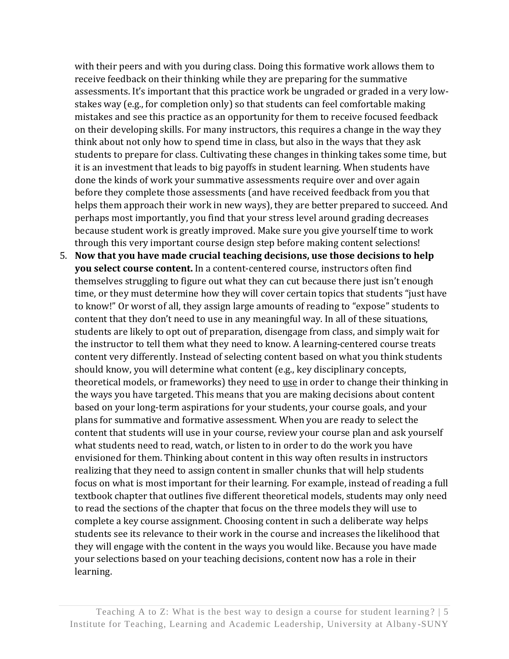with their peers and with you during class. Doing this formative work allows them to receive feedback on their thinking while they are preparing for the summative assessments. It's important that this practice work be ungraded or graded in a very lowstakes way (e.g., for completion only) so that students can feel comfortable making mistakes and see this practice as an opportunity for them to receive focused feedback on their developing skills. For many instructors, this requires a change in the way they think about not only how to spend time in class, but also in the ways that they ask students to prepare for class. Cultivating these changes in thinking takes some time, but it is an investment that leads to big payoffs in student learning. When students have done the kinds of work your summative assessments require over and over again before they complete those assessments (and have received feedback from you that helps them approach their work in new ways), they are better prepared to succeed. And perhaps most importantly, you find that your stress level around grading decreases because student work is greatly improved. Make sure you give yourself time to work through this very important course design step before making content selections!

5. **Now that you have made crucial teaching decisions, use those decisions to help you select course content.** In a content-centered course, instructors often find themselves struggling to figure out what they can cut because there just isn't enough time, or they must determine how they will cover certain topics that students "just have to know!" Or worst of all, they assign large amounts of reading to "expose" students to content that they don't need to use in any meaningful way. In all of these situations, students are likely to opt out of preparation, disengage from class, and simply wait for the instructor to tell them what they need to know. A learning-centered course treats content very differently. Instead of selecting content based on what you think students should know, you will determine what content (e.g., key disciplinary concepts, theoretical models, or frameworks) they need to use in order to change their thinking in the ways you have targeted. This means that you are making decisions about content based on your long-term aspirations for your students, your course goals, and your plans for summative and formative assessment. When you are ready to select the content that students will use in your course, review your course plan and ask yourself what students need to read, watch, or listen to in order to do the work you have envisioned for them. Thinking about content in this way often results in instructors realizing that they need to assign content in smaller chunks that will help students focus on what is most important for their learning. For example, instead of reading a full textbook chapter that outlines five different theoretical models, students may only need to read the sections of the chapter that focus on the three models they will use to complete a key course assignment. Choosing content in such a deliberate way helps students see its relevance to their work in the course and increases the likelihood that they will engage with the content in the ways you would like. Because you have made your selections based on your teaching decisions, content now has a role in their learning.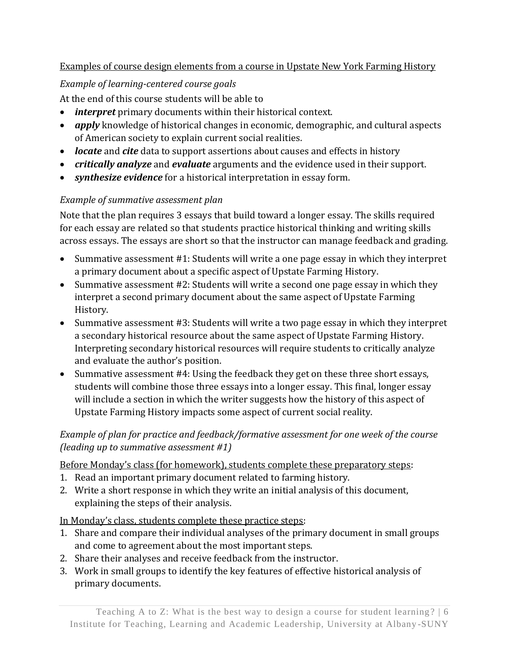### Examples of course design elements from a course in Upstate New York Farming History

# *Example of learning-centered course goals*

At the end of this course students will be able to

- *interpret* primary documents within their historical context.
- *apply* knowledge of historical changes in economic, demographic, and cultural aspects of American society to explain current social realities.
- *locate* and *cite* data to support assertions about causes and effects in history
- *critically analyze* and *evaluate* arguments and the evidence used in their support.
- *synthesize evidence* for a historical interpretation in essay form.

# *Example of summative assessment plan*

Note that the plan requires 3 essays that build toward a longer essay. The skills required for each essay are related so that students practice historical thinking and writing skills across essays. The essays are short so that the instructor can manage feedback and grading.

- Summative assessment #1: Students will write a one page essay in which they interpret a primary document about a specific aspect of Upstate Farming History.
- Summative assessment #2: Students will write a second one page essay in which they interpret a second primary document about the same aspect of Upstate Farming History.
- Summative assessment #3: Students will write a two page essay in which they interpret a secondary historical resource about the same aspect of Upstate Farming History. Interpreting secondary historical resources will require students to critically analyze and evaluate the author's position.
- Summative assessment #4: Using the feedback they get on these three short essays, students will combine those three essays into a longer essay. This final, longer essay will include a section in which the writer suggests how the history of this aspect of Upstate Farming History impacts some aspect of current social reality.

### *Example of plan for practice and feedback/formative assessment for one week of the course (leading up to summative assessment #1)*

# Before Monday's class (for homework), students complete these preparatory steps:

- 1. Read an important primary document related to farming history.
- 2. Write a short response in which they write an initial analysis of this document, explaining the steps of their analysis.

# In Monday's class, students complete these practice steps:

- 1. Share and compare their individual analyses of the primary document in small groups and come to agreement about the most important steps.
- 2. Share their analyses and receive feedback from the instructor.
- 3. Work in small groups to identify the key features of effective historical analysis of primary documents.